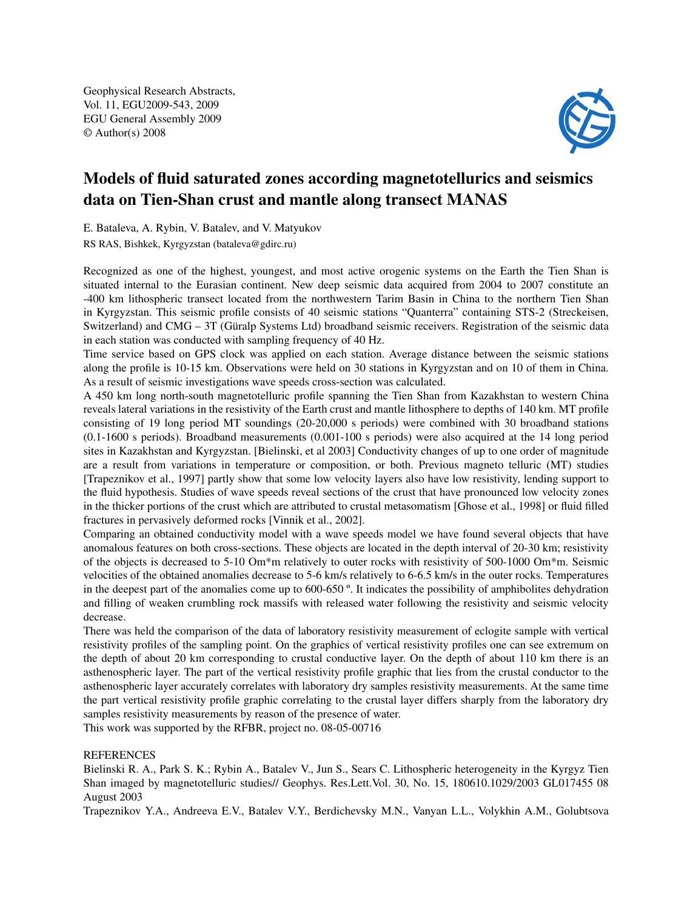Geophysical Research Abstracts, Vol. 11, EGU2009-543, 2009 EGU General Assembly 2009 © Author(s) 2008



## Models of fluid saturated zones according magnetotellurics and seismics data on Tien-Shan crust and mantle along transect MANAS

E. Bataleva, A. Rybin, V. Batalev, and V. Matyukov

RS RAS, Bishkek, Kyrgyzstan (bataleva@gdirc.ru)

Recognized as one of the highest, youngest, and most active orogenic systems on the Earth the Tien Shan is situated internal to the Eurasian continent. New deep seismic data acquired from 2004 to 2007 constitute an -400 km lithospheric transect located from the northwestern Tarim Basin in China to the northern Tien Shan in Kyrgyzstan. This seismic profile consists of 40 seismic stations "Quanterra" containing STS-2 (Streckeisen, Switzerland) and CMG – 3T (Güralp Systems Ltd) broadband seismic receivers. Registration of the seismic data in each station was conducted with sampling frequency of 40 Hz.

Time service based on GPS clock was applied on each station. Average distance between the seismic stations along the profile is 10-15 km. Observations were held on 30 stations in Kyrgyzstan and on 10 of them in China. As a result of seismic investigations wave speeds cross-section was calculated.

A 450 km long north-south magnetotelluric profile spanning the Tien Shan from Kazakhstan to western China reveals lateral variations in the resistivity of the Earth crust and mantle lithosphere to depths of 140 km. MT profile consisting of 19 long period MT soundings (20-20,000 s periods) were combined with 30 broadband stations (0.1-1600 s periods). Broadband measurements (0.001-100 s periods) were also acquired at the 14 long period sites in Kazakhstan and Kyrgyzstan. [Bielinski, et al 2003] Conductivity changes of up to one order of magnitude are a result from variations in temperature or composition, or both. Previous magneto telluric (MT) studies [Trapeznikov et al., 1997] partly show that some low velocity layers also have low resistivity, lending support to the fluid hypothesis. Studies of wave speeds reveal sections of the crust that have pronounced low velocity zones in the thicker portions of the crust which are attributed to crustal metasomatism [Ghose et al., 1998] or fluid filled fractures in pervasively deformed rocks [Vinnik et al., 2002].

Comparing an obtained conductivity model with a wave speeds model we have found several objects that have anomalous features on both cross-sections. These objects are located in the depth interval of 20-30 km; resistivity of the objects is decreased to 5-10 Om\*m relatively to outer rocks with resistivity of 500-1000 Om\*m. Seismic velocities of the obtained anomalies decrease to 5-6 km/s relatively to 6-6.5 km/s in the outer rocks. Temperatures in the deepest part of the anomalies come up to 600-650 º. It indicates the possibility of amphibolites dehydration and filling of weaken crumbling rock massifs with released water following the resistivity and seismic velocity decrease.

There was held the comparison of the data of laboratory resistivity measurement of eclogite sample with vertical resistivity profiles of the sampling point. On the graphics of vertical resistivity profiles one can see extremum on the depth of about 20 km corresponding to crustal conductive layer. On the depth of about 110 km there is an asthenospheric layer. The part of the vertical resistivity profile graphic that lies from the crustal conductor to the asthenospheric layer accurately correlates with laboratory dry samples resistivity measurements. At the same time the part vertical resistivity profile graphic correlating to the crustal layer differs sharply from the laboratory dry samples resistivity measurements by reason of the presence of water.

This work was supported by the RFBR, project no. 08-05-00716

## **REFERENCES**

Bielinski R. A., Park S. K.; Rybin A., Batalev V., Jun S., Sears C. Lithospheric heterogeneity in the Kyrgyz Tien Shan imaged by magnetotelluric studies// Geophys. Res.Lett.Vol. 30, No. 15, 180610.1029/2003 GL017455 08 August 2003

Trapeznikov Y.A., Andreeva E.V., Batalev V.Y., Berdichevsky M.N., Vanyan L.L., Volykhin A.M., Golubtsova